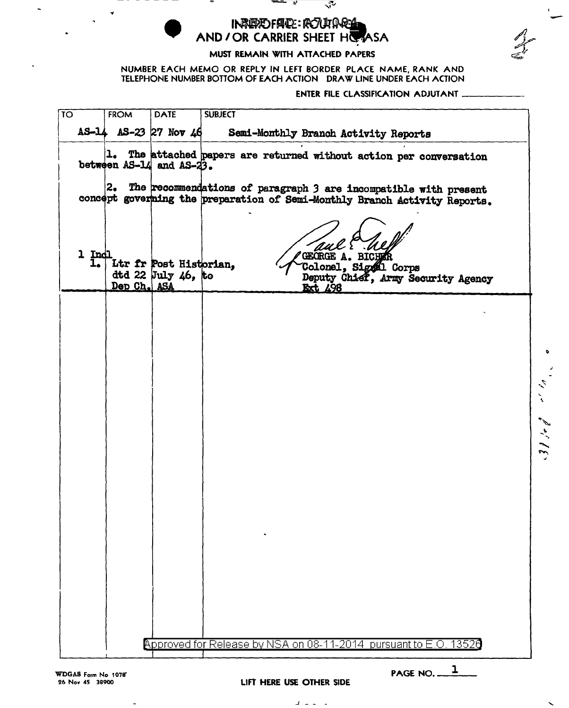INREPORTED: POUTORS AND I OR CARRIER SHEET HOMASA

MUST REMAIN WITH ATTACHED PAPERS

NUMBER EACH MEMO OR REPLY IN LEFT BORDER PLACE NAME, RANK AND TELEPHONE NUMBER BOTTOM OF EACH ACTION ORA W LINE UNDER EACH ACTION ENTER FILE CLASSIFICATION ADJUTANT ----

-

| ΤΟ |             | <b>FROM</b> | <b>DATE</b>                                  | <b>SUBJECT</b>                                                                                                                                      |                                        |
|----|-------------|-------------|----------------------------------------------|-----------------------------------------------------------------------------------------------------------------------------------------------------|----------------------------------------|
|    |             |             | AS-14 AS-23 27 Nov 46                        | Semi-Monthly Branch Activity Reports                                                                                                                |                                        |
|    |             |             | between AS-14 and AS-23.                     | 1. The attached papers are returned without action per conversation                                                                                 |                                        |
|    |             |             |                                              | 2. The recommendations of paragraph $3$ are incompatible with present<br>concept governing the preparation of Semi-Monthly Branch Activity Reports. |                                        |
|    | 1 Ind<br>ı. | Dep Ch. ASA | Ltr fr Post Historian,<br>dtd 22 July 46, to | GEORGE A. BICHER<br>Colonel, Signal Corps<br>Deputy Chief, Army Security Agency<br><b>Ext 498</b>                                                   |                                        |
|    |             |             |                                              |                                                                                                                                                     |                                        |
|    |             |             |                                              |                                                                                                                                                     | ۰                                      |
|    |             |             |                                              |                                                                                                                                                     | $\epsilon_{\rm c}$                     |
|    |             |             |                                              |                                                                                                                                                     | $\mathscr{P}^{\star}$<br>$\frac{1}{2}$ |
|    |             |             |                                              |                                                                                                                                                     | $\mathcal{E}$                          |
|    |             |             |                                              |                                                                                                                                                     |                                        |
|    |             |             |                                              |                                                                                                                                                     |                                        |
|    |             |             |                                              |                                                                                                                                                     |                                        |
|    |             |             |                                              |                                                                                                                                                     |                                        |
|    |             |             |                                              | Approved for Release by NSA on 08-11-2014 pursuant to E.O. 13526                                                                                    |                                        |

WDGAS Form No 1078" 26 Nov 45 38900

 $\overline{a}$ 

Lift HERE USE OTHER SIDE

J - - •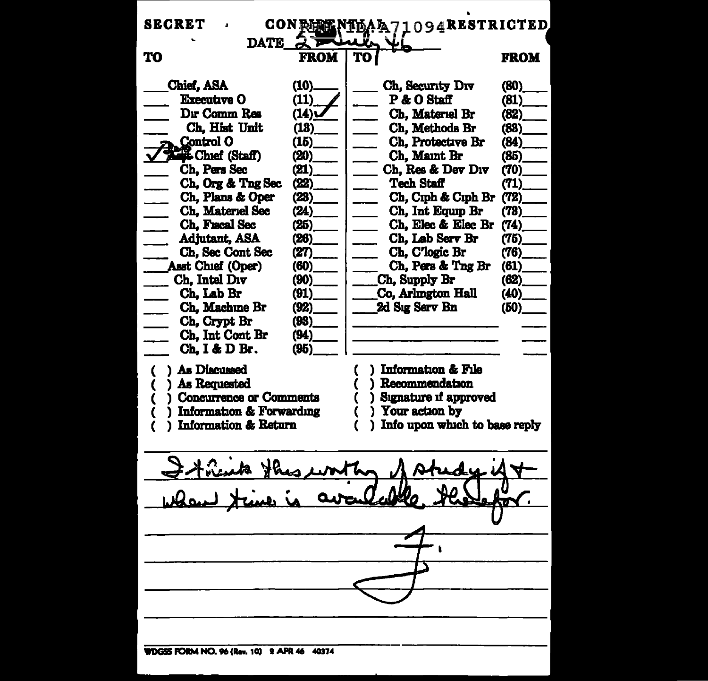| <b>SECRET</b>                                                                                              | CON AFM                      | <b>NIDAA71094RESTRICTED</b>                                                                        |                              |  |  |  |  |  |
|------------------------------------------------------------------------------------------------------------|------------------------------|----------------------------------------------------------------------------------------------------|------------------------------|--|--|--|--|--|
| <b>DATE</b>                                                                                                |                              |                                                                                                    |                              |  |  |  |  |  |
| TO                                                                                                         | <b>FROM</b>                  |                                                                                                    | FROM                         |  |  |  |  |  |
| Chief, ASA<br><b>Executive O</b><br>Dır Comm Res                                                           | (10).<br>(11)<br>(14)        | Ch, Security Div<br>P & O Staff<br>Ch, Materiel Br                                                 | (80)<br>(81)<br>(82)         |  |  |  |  |  |
| Ch, Hist Unit<br><b>Control O</b><br><b>E Chief (Staff)</b><br>Ch. Pers Sec                                | (18)<br>(15)<br>(20)<br>(21) | Ch, Methods Br<br>Ch. Protective Br<br>Ch, Maint Br<br>Ch. Res & Dev Div                           | (83)<br>(84)<br>(85)<br>(70) |  |  |  |  |  |
| Ch, Org & Tng Sec<br>Ch, Plans & Oper<br>Ch, Materiel Sec                                                  | (22)<br>(23)<br>(24)         | <b>Tech Staff</b><br>Ch, Ciph & Ciph Br<br>Ch, Int Equip Br                                        | (71)<br>(72)<br>(78)         |  |  |  |  |  |
| Ch, Fiscal Sec<br><b>Adjutant, ASA</b><br>Ch, Sec Cont Sec<br><b>Asst Chief (Oper)</b>                     | (25)<br>(26)<br>(27)<br>(60) | Ch, Elec & Elec Br<br>Ch, Lab Serv Br<br>Ch, C'logic Br<br>Ch. Pers & Tng Br                       | (74)<br>(75)<br>(76)<br>(61) |  |  |  |  |  |
| Ch, Intel Div<br>Ch, Lab Br<br>Ch, Machine Br<br>Ch, Crypt Br                                              | (90)<br>(91)<br>(92)<br>(93) | Ch, Supply Br<br>Co, Arlington Hall<br>2d Sıg Serv Bn                                              | (62)<br>(40)<br>(50)         |  |  |  |  |  |
| Ch, Int Cont Br<br>Ch, I & D Br.<br>) As Discussed                                                         | (94)<br>(95)                 | ) Information & File<br>C                                                                          |                              |  |  |  |  |  |
| ) As Requested<br>) Concurrence or Comments<br>Information & Forwarding<br><b>Information &amp; Return</b> |                              | ) Recommendation<br>) Signature if approved<br>) Your action by<br>) Info upon which to base reply |                              |  |  |  |  |  |
|                                                                                                            |                              |                                                                                                    |                              |  |  |  |  |  |
|                                                                                                            |                              |                                                                                                    |                              |  |  |  |  |  |
|                                                                                                            |                              |                                                                                                    |                              |  |  |  |  |  |
|                                                                                                            |                              |                                                                                                    |                              |  |  |  |  |  |
| WDGSS FORM NO. 96 (Rev. 10) 2 APR 46 40374                                                                 |                              |                                                                                                    |                              |  |  |  |  |  |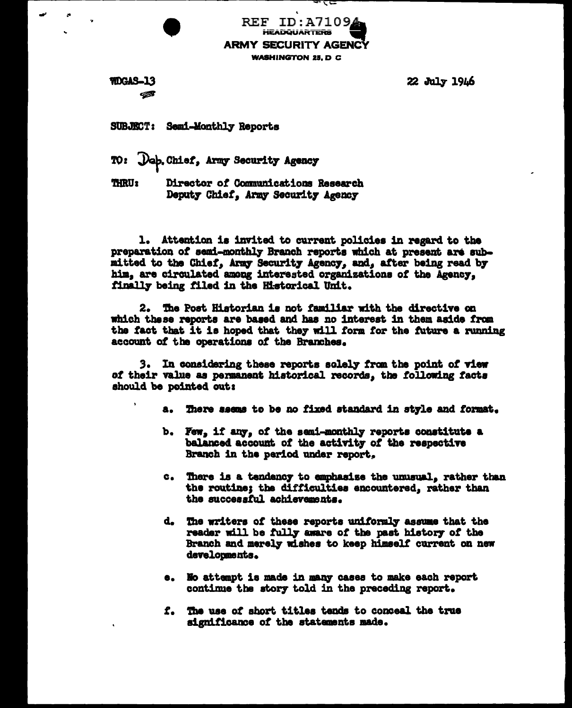**REF ID:A71094 HEADQUARTERS ARMY SECURITY AGENCY WASHINGTON 25. D C** 

कर⊏

**WDGAS-13** €

**22 July 1946** 

SUBJECT: Semi-Monthly Reports

Job. Chief, Army Security Agency TO:

**THRU:** Director of Communications Research Deputy Chief, Army Security Agency

1. Attention is invited to current policies in regard to the preparation of semi-monthly Branch reports which at present are submitted to the Chief, Army Security Agency, and, after being read by him, are circulated among interested organizations of the Agency, finally being filed in the Historical Unit.

The Post Historian is not familiar with the directive on 2. which these reports are based and has no interest in them aside from the fact that it is hoped that they will form for the future a running account of the operations of the Branches.

з. In considering these reports solely from the point of view of their value as permanent historical records, the following facts should be pointed out:

- There seems to be no fixed standard in style and format. **a.**
- b. Few, if any, of the semi-monthly reports constitute a balanced account of the activity of the respective Branch in the period under report.
- c. There is a tendency to emphasise the unusual, rather than the routine; the difficulties encountered, rather than the successful achievements.
- d. The writers of these reports uniformly assume that the reader will be fully aware of the past history of the Branch and merely wishes to keep himself current on new developments.
- e. No attempt is made in many cases to make each report continue the story told in the preceding report.
- f. The use of short titles tends to conceal the true significance of the statements made.